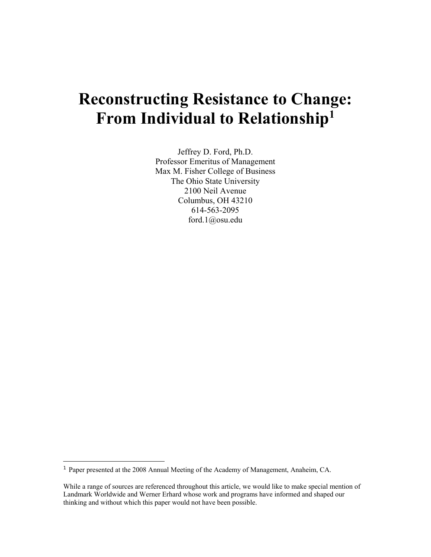# **Reconstructing Resistance to Change: From Individual to Relationship1**

Jeffrey D. Ford, Ph.D. Professor Emeritus of Management Max M. Fisher College of Business The Ohio State University 2100 Neil Avenue Columbus, OH 43210 614-563-2095 ford.1@osu.edu

-

<sup>1</sup> Paper presented at the 2008 Annual Meeting of the Academy of Management, Anaheim, CA.

While a range of sources are referenced throughout this article, we would like to make special mention of Landmark Worldwide and Werner Erhard whose work and programs have informed and shaped our thinking and without which this paper would not have been possible.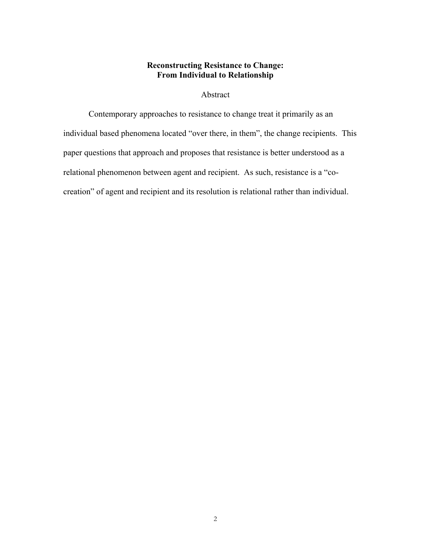## **Reconstructing Resistance to Change: From Individual to Relationship**

# Abstract

Contemporary approaches to resistance to change treat it primarily as an individual based phenomena located "over there, in them", the change recipients. This paper questions that approach and proposes that resistance is better understood as a relational phenomenon between agent and recipient. As such, resistance is a "cocreation" of agent and recipient and its resolution is relational rather than individual.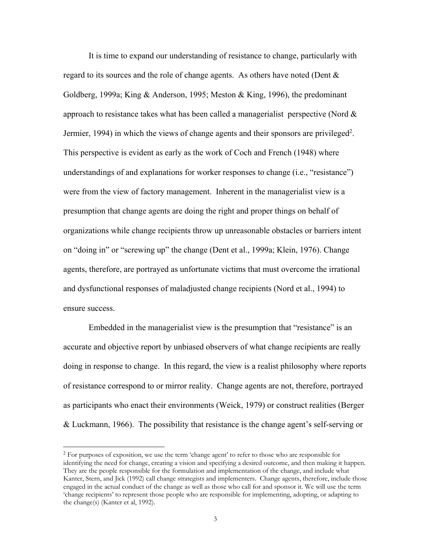It is time to expand our understanding of resistance to change, particularly with regard to its sources and the role of change agents. As others have noted (Dent  $\&$ Goldberg, 1999a; King & Anderson, 1995; Meston & King, 1996), the predominant approach to resistance takes what has been called a managerialist perspective (Nord  $\&$ Jermier, 1994) in which the views of change agents and their sponsors are privileged<sup>2</sup>. This perspective is evident as early as the work of Coch and French (1948) where understandings of and explanations for worker responses to change (i.e., "resistance") were from the view of factory management. Inherent in the managerialist view is a presumption that change agents are doing the right and proper things on behalf of organizations while change recipients throw up unreasonable obstacles or barriers intent on "doing in" or "screwing up" the change (Dent et al., 1999a; Klein, 1976). Change agents, therefore, are portrayed as unfortunate victims that must overcome the irrational and dysfunctional responses of maladjusted change recipients (Nord et al., 1994) to ensure success.

Embedded in the managerialist view is the presumption that "resistance" is an accurate and objective report by unbiased observers of what change recipients are really doing in response to change. In this regard, the view is a realist philosophy where reports of resistance correspond to or mirror reality. Change agents are not, therefore, portrayed as participants who enact their environments (Weick, 1979) or construct realities (Berger & Luckmann, 1966). The possibility that resistance is the change agent's self-serving or

 $\overline{a}$ 

 $2$  For purposes of exposition, we use the term 'change agent' to refer to those who are responsible for identifying the need for change, creating a vision and specifying a desired outcome, and then making it happen. They are the people responsible for the formulation and implementation of the change, and include what Kanter, Stern, and Jick (1992) call change strategists and implementers. Change agents, therefore, include those engaged in the actual conduct of the change as well as those who call for and sponsor it. We will use the term 'change recipients' to represent those people who are responsible for implementing, adopting, or adapting to the change(s) (Kanter et al, 1992).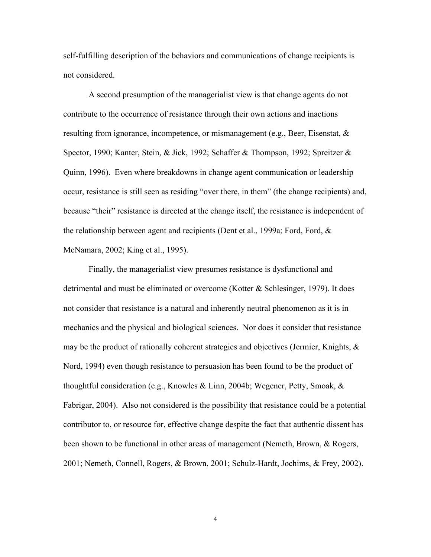self-fulfilling description of the behaviors and communications of change recipients is not considered.

A second presumption of the managerialist view is that change agents do not contribute to the occurrence of resistance through their own actions and inactions resulting from ignorance, incompetence, or mismanagement (e.g., Beer, Eisenstat,  $\&$ Spector, 1990; Kanter, Stein, & Jick, 1992; Schaffer & Thompson, 1992; Spreitzer & Quinn, 1996). Even where breakdowns in change agent communication or leadership occur, resistance is still seen as residing "over there, in them" (the change recipients) and, because "their" resistance is directed at the change itself, the resistance is independent of the relationship between agent and recipients (Dent et al., 1999a; Ford, Ford, & McNamara, 2002; King et al., 1995).

Finally, the managerialist view presumes resistance is dysfunctional and detrimental and must be eliminated or overcome (Kotter & Schlesinger, 1979). It does not consider that resistance is a natural and inherently neutral phenomenon as it is in mechanics and the physical and biological sciences. Nor does it consider that resistance may be the product of rationally coherent strategies and objectives (Jermier, Knights,  $\&$ Nord, 1994) even though resistance to persuasion has been found to be the product of thoughtful consideration (e.g., Knowles & Linn, 2004b; Wegener, Petty, Smoak, & Fabrigar, 2004). Also not considered is the possibility that resistance could be a potential contributor to, or resource for, effective change despite the fact that authentic dissent has been shown to be functional in other areas of management (Nemeth, Brown, & Rogers, 2001; Nemeth, Connell, Rogers, & Brown, 2001; Schulz-Hardt, Jochims, & Frey, 2002).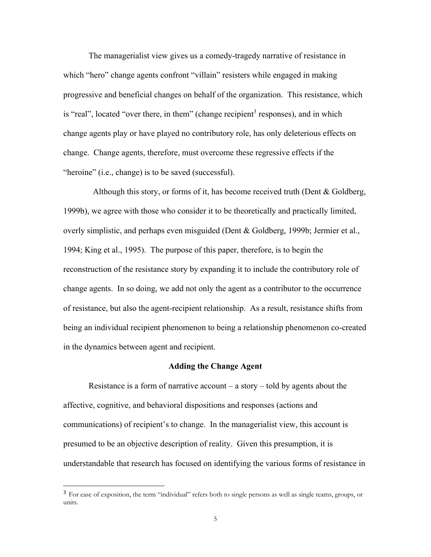The managerialist view gives us a comedy-tragedy narrative of resistance in which "hero" change agents confront "villain" resisters while engaged in making progressive and beneficial changes on behalf of the organization. This resistance, which is "real", located "over there, in them" (change recipient<sup>3</sup> responses), and in which change agents play or have played no contributory role, has only deleterious effects on change. Change agents, therefore, must overcome these regressive effects if the "heroine" (i.e., change) is to be saved (successful).

 Although this story, or forms of it, has become received truth (Dent & Goldberg, 1999b), we agree with those who consider it to be theoretically and practically limited, overly simplistic, and perhaps even misguided (Dent & Goldberg, 1999b; Jermier et al., 1994; King et al., 1995). The purpose of this paper, therefore, is to begin the reconstruction of the resistance story by expanding it to include the contributory role of change agents. In so doing, we add not only the agent as a contributor to the occurrence of resistance, but also the agent-recipient relationship. As a result, resistance shifts from being an individual recipient phenomenon to being a relationship phenomenon co-created in the dynamics between agent and recipient.

## **Adding the Change Agent**

Resistance is a form of narrative account – a story – told by agents about the affective, cognitive, and behavioral dispositions and responses (actions and communications) of recipient's to change. In the managerialist view, this account is presumed to be an objective description of reality. Given this presumption, it is understandable that research has focused on identifying the various forms of resistance in

 $\overline{a}$ 

<sup>&</sup>lt;sup>3</sup> For ease of exposition, the term "individual" refers both to single persons as well as single teams, groups, or units.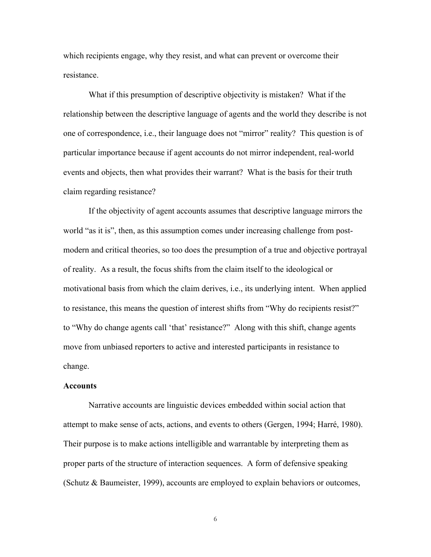which recipients engage, why they resist, and what can prevent or overcome their resistance.

What if this presumption of descriptive objectivity is mistaken? What if the relationship between the descriptive language of agents and the world they describe is not one of correspondence, i.e., their language does not "mirror" reality? This question is of particular importance because if agent accounts do not mirror independent, real-world events and objects, then what provides their warrant? What is the basis for their truth claim regarding resistance?

If the objectivity of agent accounts assumes that descriptive language mirrors the world "as it is", then, as this assumption comes under increasing challenge from postmodern and critical theories, so too does the presumption of a true and objective portrayal of reality. As a result, the focus shifts from the claim itself to the ideological or motivational basis from which the claim derives, i.e., its underlying intent. When applied to resistance, this means the question of interest shifts from "Why do recipients resist?" to "Why do change agents call 'that' resistance?" Along with this shift, change agents move from unbiased reporters to active and interested participants in resistance to change.

#### **Accounts**

 Narrative accounts are linguistic devices embedded within social action that attempt to make sense of acts, actions, and events to others (Gergen, 1994; Harré, 1980). Their purpose is to make actions intelligible and warrantable by interpreting them as proper parts of the structure of interaction sequences. A form of defensive speaking (Schutz & Baumeister, 1999), accounts are employed to explain behaviors or outcomes,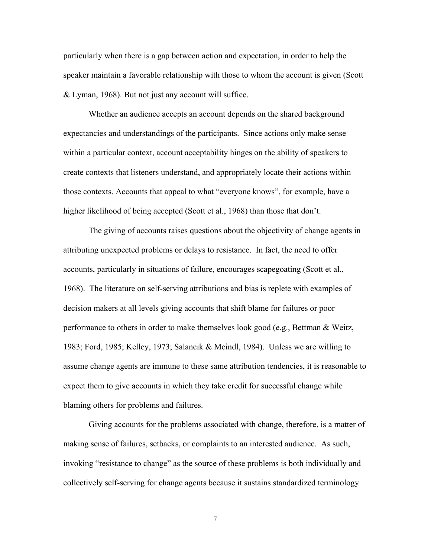particularly when there is a gap between action and expectation, in order to help the speaker maintain a favorable relationship with those to whom the account is given (Scott & Lyman, 1968). But not just any account will suffice.

Whether an audience accepts an account depends on the shared background expectancies and understandings of the participants. Since actions only make sense within a particular context, account acceptability hinges on the ability of speakers to create contexts that listeners understand, and appropriately locate their actions within those contexts. Accounts that appeal to what "everyone knows", for example, have a higher likelihood of being accepted (Scott et al., 1968) than those that don't.

The giving of accounts raises questions about the objectivity of change agents in attributing unexpected problems or delays to resistance. In fact, the need to offer accounts, particularly in situations of failure, encourages scapegoating (Scott et al., 1968). The literature on self-serving attributions and bias is replete with examples of decision makers at all levels giving accounts that shift blame for failures or poor performance to others in order to make themselves look good (e.g., Bettman & Weitz, 1983; Ford, 1985; Kelley, 1973; Salancik & Meindl, 1984). Unless we are willing to assume change agents are immune to these same attribution tendencies, it is reasonable to expect them to give accounts in which they take credit for successful change while blaming others for problems and failures.

Giving accounts for the problems associated with change, therefore, is a matter of making sense of failures, setbacks, or complaints to an interested audience. As such, invoking "resistance to change" as the source of these problems is both individually and collectively self-serving for change agents because it sustains standardized terminology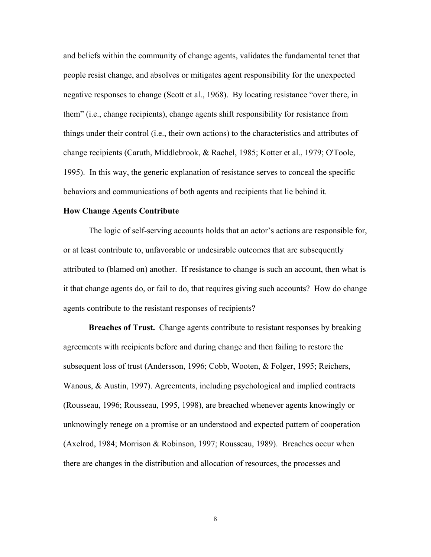and beliefs within the community of change agents, validates the fundamental tenet that people resist change, and absolves or mitigates agent responsibility for the unexpected negative responses to change (Scott et al., 1968). By locating resistance "over there, in them" (i.e., change recipients), change agents shift responsibility for resistance from things under their control (i.e., their own actions) to the characteristics and attributes of change recipients (Caruth, Middlebrook, & Rachel, 1985; Kotter et al., 1979; O'Toole, 1995). In this way, the generic explanation of resistance serves to conceal the specific behaviors and communications of both agents and recipients that lie behind it.

#### **How Change Agents Contribute**

 The logic of self-serving accounts holds that an actor's actions are responsible for, or at least contribute to, unfavorable or undesirable outcomes that are subsequently attributed to (blamed on) another. If resistance to change is such an account, then what is it that change agents do, or fail to do, that requires giving such accounts? How do change agents contribute to the resistant responses of recipients?

**Breaches of Trust.** Change agents contribute to resistant responses by breaking agreements with recipients before and during change and then failing to restore the subsequent loss of trust (Andersson, 1996; Cobb, Wooten, & Folger, 1995; Reichers, Wanous, & Austin, 1997). Agreements, including psychological and implied contracts (Rousseau, 1996; Rousseau, 1995, 1998), are breached whenever agents knowingly or unknowingly renege on a promise or an understood and expected pattern of cooperation (Axelrod, 1984; Morrison & Robinson, 1997; Rousseau, 1989). Breaches occur when there are changes in the distribution and allocation of resources, the processes and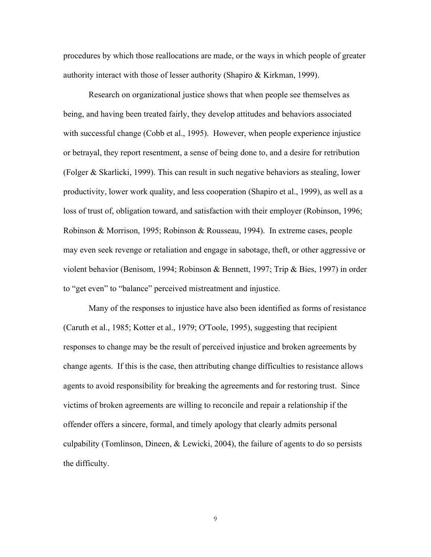procedures by which those reallocations are made, or the ways in which people of greater authority interact with those of lesser authority (Shapiro & Kirkman, 1999).

Research on organizational justice shows that when people see themselves as being, and having been treated fairly, they develop attitudes and behaviors associated with successful change (Cobb et al., 1995). However, when people experience injustice or betrayal, they report resentment, a sense of being done to, and a desire for retribution (Folger & Skarlicki, 1999). This can result in such negative behaviors as stealing, lower productivity, lower work quality, and less cooperation (Shapiro et al., 1999), as well as a loss of trust of, obligation toward, and satisfaction with their employer (Robinson, 1996; Robinson & Morrison, 1995; Robinson & Rousseau, 1994). In extreme cases, people may even seek revenge or retaliation and engage in sabotage, theft, or other aggressive or violent behavior (Benisom, 1994; Robinson & Bennett, 1997; Trip & Bies, 1997) in order to "get even" to "balance" perceived mistreatment and injustice.

Many of the responses to injustice have also been identified as forms of resistance (Caruth et al., 1985; Kotter et al., 1979; O'Toole, 1995), suggesting that recipient responses to change may be the result of perceived injustice and broken agreements by change agents. If this is the case, then attributing change difficulties to resistance allows agents to avoid responsibility for breaking the agreements and for restoring trust. Since victims of broken agreements are willing to reconcile and repair a relationship if the offender offers a sincere, formal, and timely apology that clearly admits personal culpability (Tomlinson, Dineen, & Lewicki, 2004), the failure of agents to do so persists the difficulty.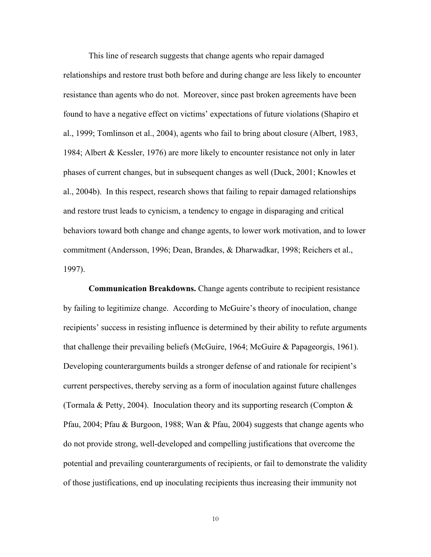This line of research suggests that change agents who repair damaged relationships and restore trust both before and during change are less likely to encounter resistance than agents who do not. Moreover, since past broken agreements have been found to have a negative effect on victims' expectations of future violations (Shapiro et al., 1999; Tomlinson et al., 2004), agents who fail to bring about closure (Albert, 1983, 1984; Albert & Kessler, 1976) are more likely to encounter resistance not only in later phases of current changes, but in subsequent changes as well (Duck, 2001; Knowles et al., 2004b). In this respect, research shows that failing to repair damaged relationships and restore trust leads to cynicism, a tendency to engage in disparaging and critical behaviors toward both change and change agents, to lower work motivation, and to lower commitment (Andersson, 1996; Dean, Brandes, & Dharwadkar, 1998; Reichers et al., 1997).

**Communication Breakdowns.** Change agents contribute to recipient resistance by failing to legitimize change. According to McGuire's theory of inoculation, change recipients' success in resisting influence is determined by their ability to refute arguments that challenge their prevailing beliefs (McGuire, 1964; McGuire & Papageorgis, 1961). Developing counterarguments builds a stronger defense of and rationale for recipient's current perspectives, thereby serving as a form of inoculation against future challenges (Tormala & Petty, 2004). Inoculation theory and its supporting research (Compton  $\&$ Pfau, 2004; Pfau & Burgoon, 1988; Wan & Pfau, 2004) suggests that change agents who do not provide strong, well-developed and compelling justifications that overcome the potential and prevailing counterarguments of recipients, or fail to demonstrate the validity of those justifications, end up inoculating recipients thus increasing their immunity not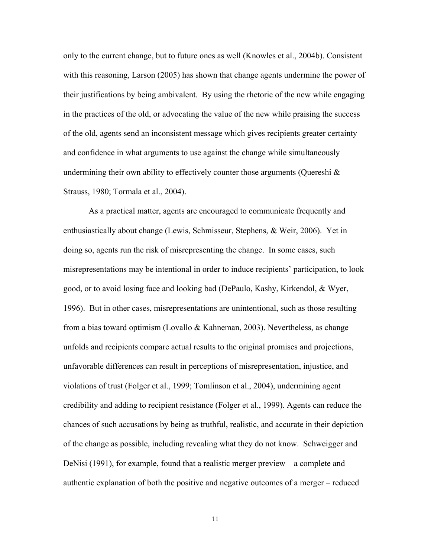only to the current change, but to future ones as well (Knowles et al., 2004b). Consistent with this reasoning, Larson (2005) has shown that change agents undermine the power of their justifications by being ambivalent. By using the rhetoric of the new while engaging in the practices of the old, or advocating the value of the new while praising the success of the old, agents send an inconsistent message which gives recipients greater certainty and confidence in what arguments to use against the change while simultaneously undermining their own ability to effectively counter those arguments (Quereshi  $\&$ Strauss, 1980; Tormala et al., 2004).

As a practical matter, agents are encouraged to communicate frequently and enthusiastically about change (Lewis, Schmisseur, Stephens, & Weir, 2006). Yet in doing so, agents run the risk of misrepresenting the change. In some cases, such misrepresentations may be intentional in order to induce recipients' participation, to look good, or to avoid losing face and looking bad (DePaulo, Kashy, Kirkendol, & Wyer, 1996). But in other cases, misrepresentations are unintentional, such as those resulting from a bias toward optimism (Lovallo & Kahneman, 2003). Nevertheless, as change unfolds and recipients compare actual results to the original promises and projections, unfavorable differences can result in perceptions of misrepresentation, injustice, and violations of trust (Folger et al., 1999; Tomlinson et al., 2004), undermining agent credibility and adding to recipient resistance (Folger et al., 1999). Agents can reduce the chances of such accusations by being as truthful, realistic, and accurate in their depiction of the change as possible, including revealing what they do not know. Schweigger and DeNisi (1991), for example, found that a realistic merger preview – a complete and authentic explanation of both the positive and negative outcomes of a merger – reduced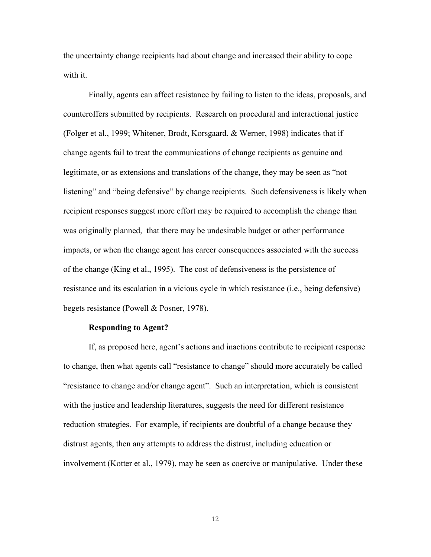the uncertainty change recipients had about change and increased their ability to cope with it.

Finally, agents can affect resistance by failing to listen to the ideas, proposals, and counteroffers submitted by recipients. Research on procedural and interactional justice (Folger et al., 1999; Whitener, Brodt, Korsgaard, & Werner, 1998) indicates that if change agents fail to treat the communications of change recipients as genuine and legitimate, or as extensions and translations of the change, they may be seen as "not listening" and "being defensive" by change recipients. Such defensiveness is likely when recipient responses suggest more effort may be required to accomplish the change than was originally planned, that there may be undesirable budget or other performance impacts, or when the change agent has career consequences associated with the success of the change (King et al., 1995). The cost of defensiveness is the persistence of resistance and its escalation in a vicious cycle in which resistance (i.e., being defensive) begets resistance (Powell & Posner, 1978).

#### **Responding to Agent?**

If, as proposed here, agent's actions and inactions contribute to recipient response to change, then what agents call "resistance to change" should more accurately be called "resistance to change and/or change agent". Such an interpretation, which is consistent with the justice and leadership literatures, suggests the need for different resistance reduction strategies. For example, if recipients are doubtful of a change because they distrust agents, then any attempts to address the distrust, including education or involvement (Kotter et al., 1979), may be seen as coercive or manipulative. Under these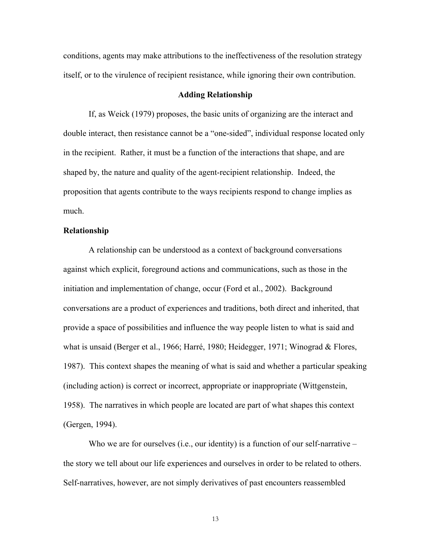conditions, agents may make attributions to the ineffectiveness of the resolution strategy itself, or to the virulence of recipient resistance, while ignoring their own contribution.

## **Adding Relationship**

If, as Weick (1979) proposes, the basic units of organizing are the interact and double interact, then resistance cannot be a "one-sided", individual response located only in the recipient. Rather, it must be a function of the interactions that shape, and are shaped by, the nature and quality of the agent-recipient relationship. Indeed, the proposition that agents contribute to the ways recipients respond to change implies as much.

## **Relationship**

A relationship can be understood as a context of background conversations against which explicit, foreground actions and communications, such as those in the initiation and implementation of change, occur (Ford et al., 2002). Background conversations are a product of experiences and traditions, both direct and inherited, that provide a space of possibilities and influence the way people listen to what is said and what is unsaid (Berger et al., 1966; Harré, 1980; Heidegger, 1971; Winograd & Flores, 1987). This context shapes the meaning of what is said and whether a particular speaking (including action) is correct or incorrect, appropriate or inappropriate (Wittgenstein, 1958). The narratives in which people are located are part of what shapes this context (Gergen, 1994).

Who we are for ourselves (i.e., our identity) is a function of our self-narrative – the story we tell about our life experiences and ourselves in order to be related to others. Self-narratives, however, are not simply derivatives of past encounters reassembled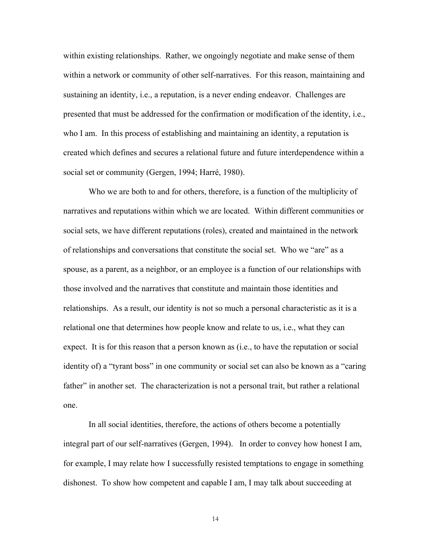within existing relationships. Rather, we ongoingly negotiate and make sense of them within a network or community of other self-narratives. For this reason, maintaining and sustaining an identity, i.e., a reputation, is a never ending endeavor. Challenges are presented that must be addressed for the confirmation or modification of the identity, i.e., who I am. In this process of establishing and maintaining an identity, a reputation is created which defines and secures a relational future and future interdependence within a social set or community (Gergen, 1994; Harré, 1980).

Who we are both to and for others, therefore, is a function of the multiplicity of narratives and reputations within which we are located. Within different communities or social sets, we have different reputations (roles), created and maintained in the network of relationships and conversations that constitute the social set. Who we "are" as a spouse, as a parent, as a neighbor, or an employee is a function of our relationships with those involved and the narratives that constitute and maintain those identities and relationships. As a result, our identity is not so much a personal characteristic as it is a relational one that determines how people know and relate to us, i.e., what they can expect. It is for this reason that a person known as (i.e., to have the reputation or social identity of) a "tyrant boss" in one community or social set can also be known as a "caring father" in another set. The characterization is not a personal trait, but rather a relational one.

In all social identities, therefore, the actions of others become a potentially integral part of our self-narratives (Gergen, 1994). In order to convey how honest I am, for example, I may relate how I successfully resisted temptations to engage in something dishonest. To show how competent and capable I am, I may talk about succeeding at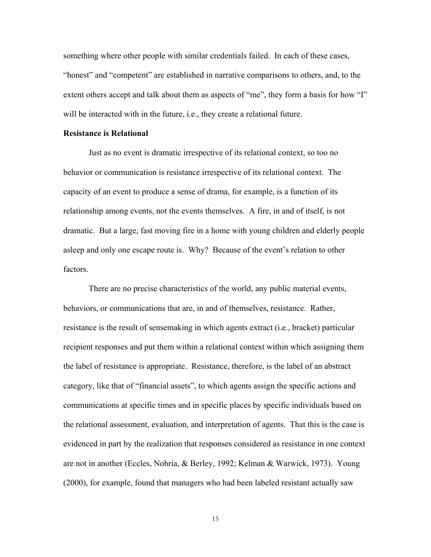something where other people with similar credentials failed. In each of these cases, "honest" and "competent" are established in narrative comparisons to others, and, to the extent others accept and talk about them as aspects of "me", they form a basis for how "I" will be interacted with in the future, i.e., they create a relational future.

## **Resistance is Relational**

Just as no event is dramatic irrespective of its relational context, so too no behavior or communication is resistance irrespective of its relational context. The capacity of an event to produce a sense of drama, for example, is a function of its relationship among events, not the events themselves. A fire, in and of itself, is not dramatic. But a large, fast moving fire in a home with young children and elderly people asleep and only one escape route is. Why? Because of the event's relation to other factors.

There are no precise characteristics of the world, any public material events, behaviors, or communications that are, in and of themselves, resistance. Rather, resistance is the result of sensemaking in which agents extract (i.e., bracket) particular recipient responses and put them within a relational context within which assigning them the label of resistance is appropriate. Resistance, therefore, is the label of an abstract category, like that of "financial assets", to which agents assign the specific actions and communications at specific times and in specific places by specific individuals based on the relational assessment, evaluation, and interpretation of agents. That this is the case is evidenced in part by the realization that responses considered as resistance in one context are not in another (Eccles, Nohria, & Berley, 1992; Kelman & Warwick, 1973). Young (2000), for example, found that managers who had been labeled resistant actually saw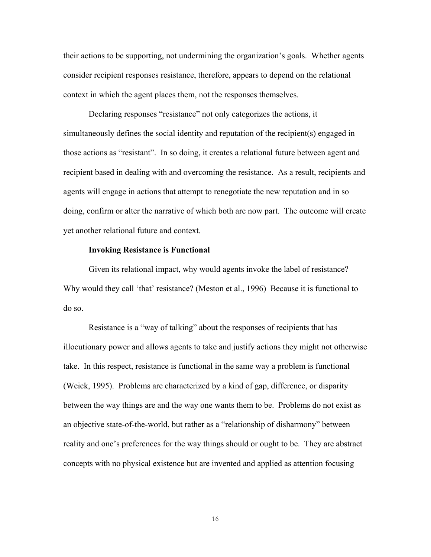their actions to be supporting, not undermining the organization's goals. Whether agents consider recipient responses resistance, therefore, appears to depend on the relational context in which the agent places them, not the responses themselves.

Declaring responses "resistance" not only categorizes the actions, it simultaneously defines the social identity and reputation of the recipient(s) engaged in those actions as "resistant". In so doing, it creates a relational future between agent and recipient based in dealing with and overcoming the resistance. As a result, recipients and agents will engage in actions that attempt to renegotiate the new reputation and in so doing, confirm or alter the narrative of which both are now part. The outcome will create yet another relational future and context.

#### **Invoking Resistance is Functional**

Given its relational impact, why would agents invoke the label of resistance? Why would they call 'that' resistance? (Meston et al., 1996) Because it is functional to do so.

Resistance is a "way of talking" about the responses of recipients that has illocutionary power and allows agents to take and justify actions they might not otherwise take. In this respect, resistance is functional in the same way a problem is functional (Weick, 1995). Problems are characterized by a kind of gap, difference, or disparity between the way things are and the way one wants them to be. Problems do not exist as an objective state-of-the-world, but rather as a "relationship of disharmony" between reality and one's preferences for the way things should or ought to be. They are abstract concepts with no physical existence but are invented and applied as attention focusing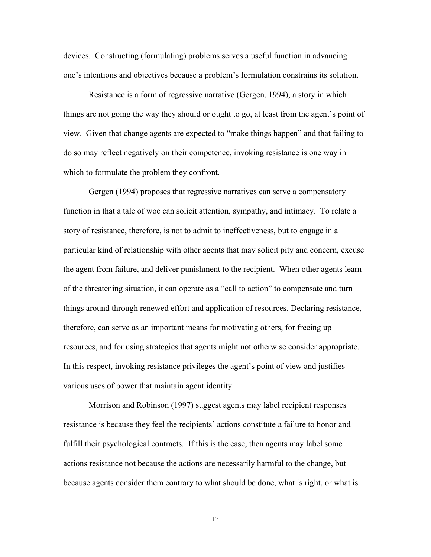devices. Constructing (formulating) problems serves a useful function in advancing one's intentions and objectives because a problem's formulation constrains its solution.

 Resistance is a form of regressive narrative (Gergen, 1994), a story in which things are not going the way they should or ought to go, at least from the agent's point of view. Given that change agents are expected to "make things happen" and that failing to do so may reflect negatively on their competence, invoking resistance is one way in which to formulate the problem they confront.

Gergen (1994) proposes that regressive narratives can serve a compensatory function in that a tale of woe can solicit attention, sympathy, and intimacy. To relate a story of resistance, therefore, is not to admit to ineffectiveness, but to engage in a particular kind of relationship with other agents that may solicit pity and concern, excuse the agent from failure, and deliver punishment to the recipient. When other agents learn of the threatening situation, it can operate as a "call to action" to compensate and turn things around through renewed effort and application of resources. Declaring resistance, therefore, can serve as an important means for motivating others, for freeing up resources, and for using strategies that agents might not otherwise consider appropriate. In this respect, invoking resistance privileges the agent's point of view and justifies various uses of power that maintain agent identity.

Morrison and Robinson (1997) suggest agents may label recipient responses resistance is because they feel the recipients' actions constitute a failure to honor and fulfill their psychological contracts. If this is the case, then agents may label some actions resistance not because the actions are necessarily harmful to the change, but because agents consider them contrary to what should be done, what is right, or what is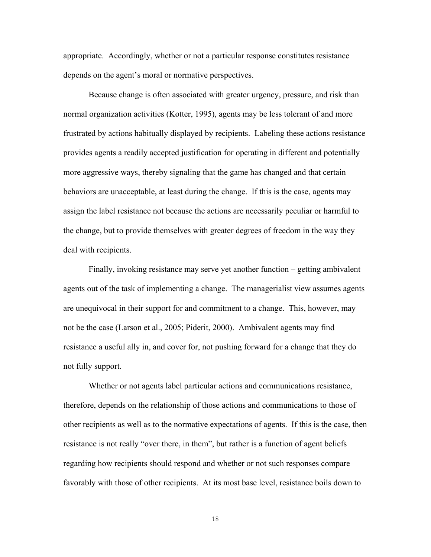appropriate. Accordingly, whether or not a particular response constitutes resistance depends on the agent's moral or normative perspectives.

Because change is often associated with greater urgency, pressure, and risk than normal organization activities (Kotter, 1995), agents may be less tolerant of and more frustrated by actions habitually displayed by recipients. Labeling these actions resistance provides agents a readily accepted justification for operating in different and potentially more aggressive ways, thereby signaling that the game has changed and that certain behaviors are unacceptable, at least during the change. If this is the case, agents may assign the label resistance not because the actions are necessarily peculiar or harmful to the change, but to provide themselves with greater degrees of freedom in the way they deal with recipients.

Finally, invoking resistance may serve yet another function – getting ambivalent agents out of the task of implementing a change. The managerialist view assumes agents are unequivocal in their support for and commitment to a change. This, however, may not be the case (Larson et al., 2005; Piderit, 2000). Ambivalent agents may find resistance a useful ally in, and cover for, not pushing forward for a change that they do not fully support.

Whether or not agents label particular actions and communications resistance, therefore, depends on the relationship of those actions and communications to those of other recipients as well as to the normative expectations of agents. If this is the case, then resistance is not really "over there, in them", but rather is a function of agent beliefs regarding how recipients should respond and whether or not such responses compare favorably with those of other recipients. At its most base level, resistance boils down to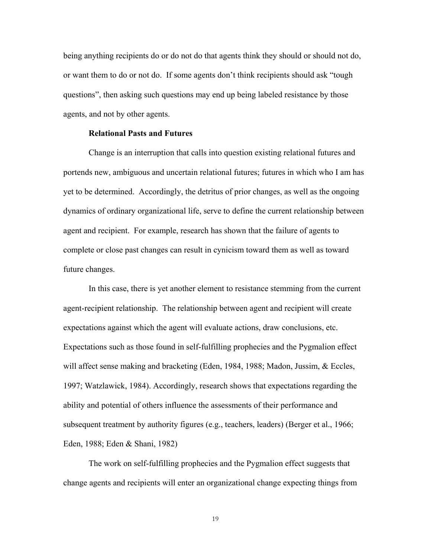being anything recipients do or do not do that agents think they should or should not do, or want them to do or not do. If some agents don't think recipients should ask "tough questions", then asking such questions may end up being labeled resistance by those agents, and not by other agents.

## **Relational Pasts and Futures**

Change is an interruption that calls into question existing relational futures and portends new, ambiguous and uncertain relational futures; futures in which who I am has yet to be determined. Accordingly, the detritus of prior changes, as well as the ongoing dynamics of ordinary organizational life, serve to define the current relationship between agent and recipient. For example, research has shown that the failure of agents to complete or close past changes can result in cynicism toward them as well as toward future changes.

In this case, there is yet another element to resistance stemming from the current agent-recipient relationship. The relationship between agent and recipient will create expectations against which the agent will evaluate actions, draw conclusions, etc. Expectations such as those found in self-fulfilling prophecies and the Pygmalion effect will affect sense making and bracketing (Eden, 1984, 1988; Madon, Jussim, & Eccles, 1997; Watzlawick, 1984). Accordingly, research shows that expectations regarding the ability and potential of others influence the assessments of their performance and subsequent treatment by authority figures (e.g., teachers, leaders) (Berger et al., 1966; Eden, 1988; Eden & Shani, 1982)

The work on self-fulfilling prophecies and the Pygmalion effect suggests that change agents and recipients will enter an organizational change expecting things from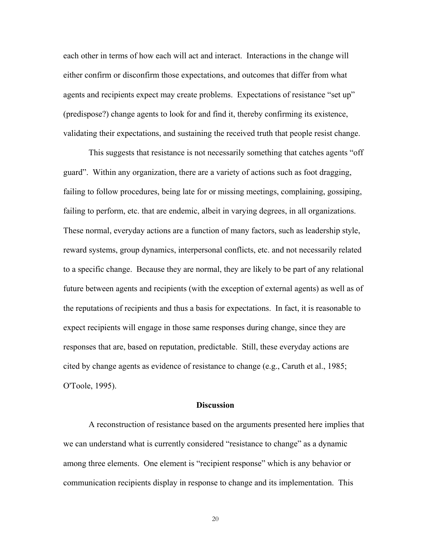each other in terms of how each will act and interact. Interactions in the change will either confirm or disconfirm those expectations, and outcomes that differ from what agents and recipients expect may create problems. Expectations of resistance "set up" (predispose?) change agents to look for and find it, thereby confirming its existence, validating their expectations, and sustaining the received truth that people resist change.

This suggests that resistance is not necessarily something that catches agents "off guard". Within any organization, there are a variety of actions such as foot dragging, failing to follow procedures, being late for or missing meetings, complaining, gossiping, failing to perform, etc. that are endemic, albeit in varying degrees, in all organizations. These normal, everyday actions are a function of many factors, such as leadership style, reward systems, group dynamics, interpersonal conflicts, etc. and not necessarily related to a specific change. Because they are normal, they are likely to be part of any relational future between agents and recipients (with the exception of external agents) as well as of the reputations of recipients and thus a basis for expectations. In fact, it is reasonable to expect recipients will engage in those same responses during change, since they are responses that are, based on reputation, predictable. Still, these everyday actions are cited by change agents as evidence of resistance to change (e.g., Caruth et al., 1985; O'Toole, 1995).

#### **Discussion**

A reconstruction of resistance based on the arguments presented here implies that we can understand what is currently considered "resistance to change" as a dynamic among three elements. One element is "recipient response" which is any behavior or communication recipients display in response to change and its implementation. This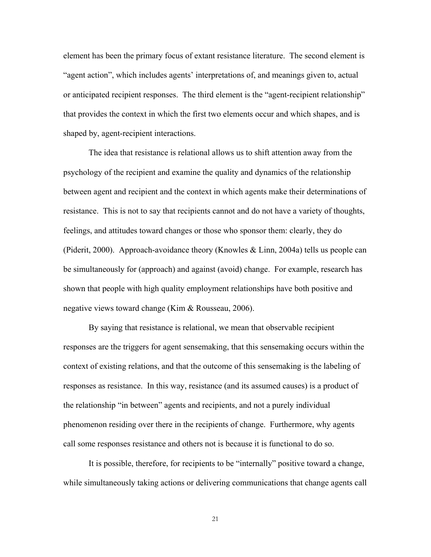element has been the primary focus of extant resistance literature. The second element is "agent action", which includes agents' interpretations of, and meanings given to, actual or anticipated recipient responses. The third element is the "agent-recipient relationship" that provides the context in which the first two elements occur and which shapes, and is shaped by, agent-recipient interactions.

 The idea that resistance is relational allows us to shift attention away from the psychology of the recipient and examine the quality and dynamics of the relationship between agent and recipient and the context in which agents make their determinations of resistance. This is not to say that recipients cannot and do not have a variety of thoughts, feelings, and attitudes toward changes or those who sponsor them: clearly, they do (Piderit, 2000). Approach-avoidance theory (Knowles & Linn, 2004a) tells us people can be simultaneously for (approach) and against (avoid) change. For example, research has shown that people with high quality employment relationships have both positive and negative views toward change (Kim & Rousseau, 2006).

By saying that resistance is relational, we mean that observable recipient responses are the triggers for agent sensemaking, that this sensemaking occurs within the context of existing relations, and that the outcome of this sensemaking is the labeling of responses as resistance. In this way, resistance (and its assumed causes) is a product of the relationship "in between" agents and recipients, and not a purely individual phenomenon residing over there in the recipients of change. Furthermore, why agents call some responses resistance and others not is because it is functional to do so.

It is possible, therefore, for recipients to be "internally" positive toward a change, while simultaneously taking actions or delivering communications that change agents call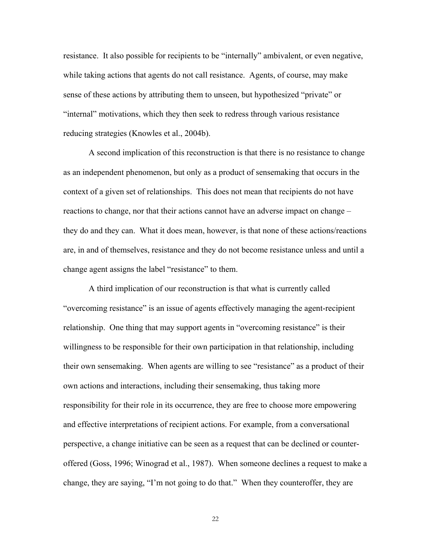resistance. It also possible for recipients to be "internally" ambivalent, or even negative, while taking actions that agents do not call resistance. Agents, of course, may make sense of these actions by attributing them to unseen, but hypothesized "private" or "internal" motivations, which they then seek to redress through various resistance reducing strategies (Knowles et al., 2004b).

A second implication of this reconstruction is that there is no resistance to change as an independent phenomenon, but only as a product of sensemaking that occurs in the context of a given set of relationships. This does not mean that recipients do not have reactions to change, nor that their actions cannot have an adverse impact on change – they do and they can. What it does mean, however, is that none of these actions/reactions are, in and of themselves, resistance and they do not become resistance unless and until a change agent assigns the label "resistance" to them.

A third implication of our reconstruction is that what is currently called "overcoming resistance" is an issue of agents effectively managing the agent-recipient relationship. One thing that may support agents in "overcoming resistance" is their willingness to be responsible for their own participation in that relationship, including their own sensemaking. When agents are willing to see "resistance" as a product of their own actions and interactions, including their sensemaking, thus taking more responsibility for their role in its occurrence, they are free to choose more empowering and effective interpretations of recipient actions. For example, from a conversational perspective, a change initiative can be seen as a request that can be declined or counteroffered (Goss, 1996; Winograd et al., 1987). When someone declines a request to make a change, they are saying, "I'm not going to do that." When they counteroffer, they are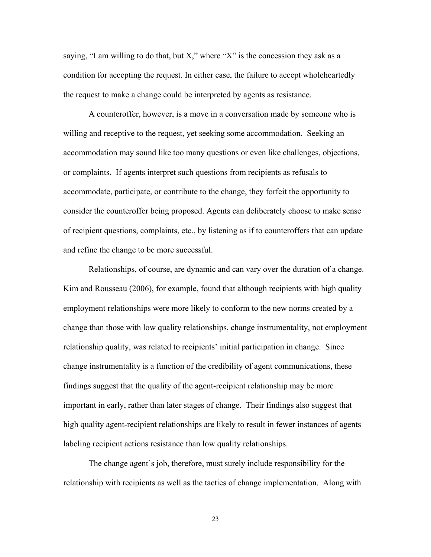saying, "I am willing to do that, but X," where "X" is the concession they ask as a condition for accepting the request. In either case, the failure to accept wholeheartedly the request to make a change could be interpreted by agents as resistance.

A counteroffer, however, is a move in a conversation made by someone who is willing and receptive to the request, yet seeking some accommodation. Seeking an accommodation may sound like too many questions or even like challenges, objections, or complaints. If agents interpret such questions from recipients as refusals to accommodate, participate, or contribute to the change, they forfeit the opportunity to consider the counteroffer being proposed. Agents can deliberately choose to make sense of recipient questions, complaints, etc., by listening as if to counteroffers that can update and refine the change to be more successful.

Relationships, of course, are dynamic and can vary over the duration of a change. Kim and Rousseau (2006), for example, found that although recipients with high quality employment relationships were more likely to conform to the new norms created by a change than those with low quality relationships, change instrumentality, not employment relationship quality, was related to recipients' initial participation in change. Since change instrumentality is a function of the credibility of agent communications, these findings suggest that the quality of the agent-recipient relationship may be more important in early, rather than later stages of change. Their findings also suggest that high quality agent-recipient relationships are likely to result in fewer instances of agents labeling recipient actions resistance than low quality relationships.

The change agent's job, therefore, must surely include responsibility for the relationship with recipients as well as the tactics of change implementation. Along with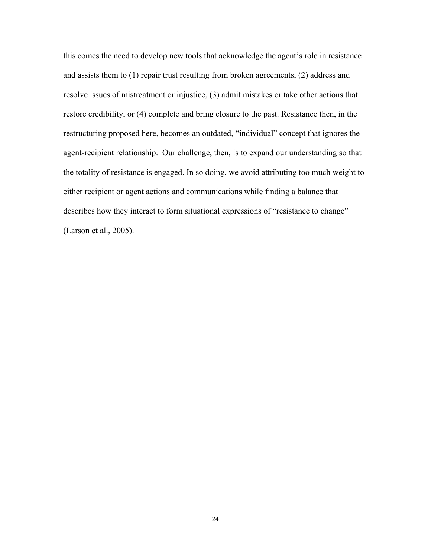this comes the need to develop new tools that acknowledge the agent's role in resistance and assists them to (1) repair trust resulting from broken agreements, (2) address and resolve issues of mistreatment or injustice, (3) admit mistakes or take other actions that restore credibility, or (4) complete and bring closure to the past. Resistance then, in the restructuring proposed here, becomes an outdated, "individual" concept that ignores the agent-recipient relationship. Our challenge, then, is to expand our understanding so that the totality of resistance is engaged. In so doing, we avoid attributing too much weight to either recipient or agent actions and communications while finding a balance that describes how they interact to form situational expressions of "resistance to change" (Larson et al., 2005).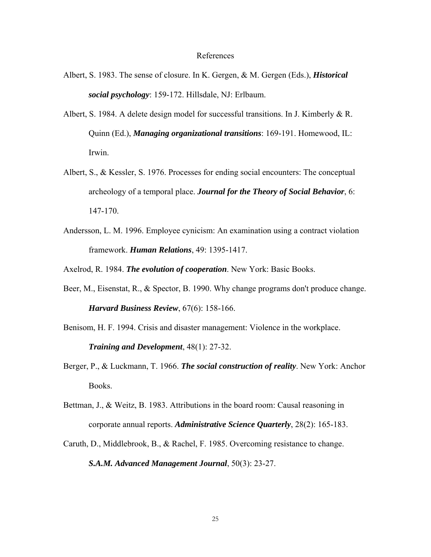#### References

- Albert, S. 1983. The sense of closure. In K. Gergen, & M. Gergen (Eds.), *Historical social psychology*: 159-172. Hillsdale, NJ: Erlbaum.
- Albert, S. 1984. A delete design model for successful transitions. In J. Kimberly & R. Quinn (Ed.), *Managing organizational transitions*: 169-191. Homewood, IL: Irwin.
- Albert, S., & Kessler, S. 1976. Processes for ending social encounters: The conceptual archeology of a temporal place. *Journal for the Theory of Social Behavior*, 6: 147-170.
- Andersson, L. M. 1996. Employee cynicism: An examination using a contract violation framework. *Human Relations*, 49: 1395-1417.

Axelrod, R. 1984. *The evolution of cooperation*. New York: Basic Books.

- Beer, M., Eisenstat, R., & Spector, B. 1990. Why change programs don't produce change. *Harvard Business Review*, 67(6): 158-166.
- Benisom, H. F. 1994. Crisis and disaster management: Violence in the workplace. *Training and Development*, 48(1): 27-32.
- Berger, P., & Luckmann, T. 1966. *The social construction of reality*. New York: Anchor Books.
- Bettman, J., & Weitz, B. 1983. Attributions in the board room: Causal reasoning in corporate annual reports. *Administrative Science Quarterly*, 28(2): 165-183.
- Caruth, D., Middlebrook, B., & Rachel, F. 1985. Overcoming resistance to change. *S.A.M. Advanced Management Journal*, 50(3): 23-27.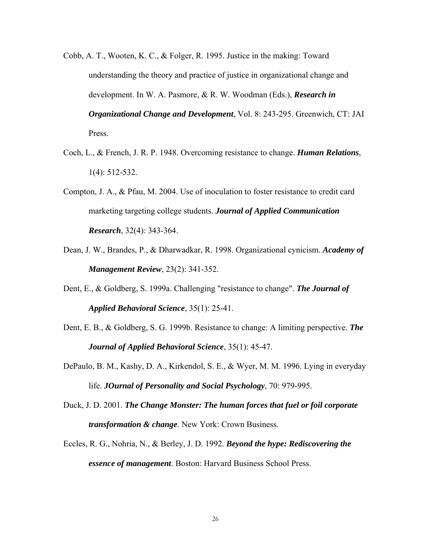- Cobb, A. T., Wooten, K. C., & Folger, R. 1995. Justice in the making: Toward understanding the theory and practice of justice in organizational change and development. In W. A. Pasmore, & R. W. Woodman (Eds.), *Research in Organizational Change and Development*, Vol. 8: 243-295. Greenwich, CT: JAI Press.
- Coch, L., & French, J. R. P. 1948. Overcoming resistance to change. *Human Relations*, 1(4): 512-532.
- Compton, J. A., & Pfau, M. 2004. Use of inoculation to foster resistance to credit card marketing targeting college students. *Journal of Applied Communication Research*, 32(4): 343-364.
- Dean, J. W., Brandes, P., & Dharwadkar, R. 1998. Organizational cynicism. *Academy of Management Review*, 23(2): 341-352.
- Dent, E., & Goldberg, S. 1999a. Challenging "resistance to change". *The Journal of Applied Behavioral Science*, 35(1): 25-41.
- Dent, E. B., & Goldberg, S. G. 1999b. Resistance to change: A limiting perspective. *The Journal of Applied Behavioral Science*, 35(1): 45-47.
- DePaulo, B. M., Kashy, D. A., Kirkendol, S. E., & Wyer, M. M. 1996. Lying in everyday life. *JOurnal of Personality and Social Psychology*, 70: 979-995.
- Duck, J. D. 2001. *The Change Monster: The human forces that fuel or foil corporate transformation & change*. New York: Crown Business.
- Eccles, R. G., Nohria, N., & Berley, J. D. 1992. *Beyond the hype: Rediscovering the essence of management*. Boston: Harvard Business School Press.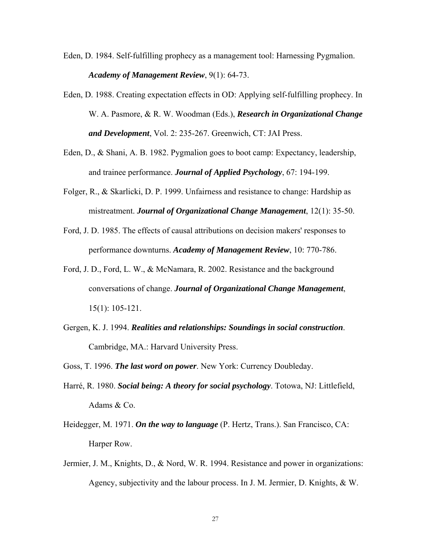- Eden, D. 1984. Self-fulfilling prophecy as a management tool: Harnessing Pygmalion. *Academy of Management Review*, 9(1): 64-73.
- Eden, D. 1988. Creating expectation effects in OD: Applying self-fulfilling prophecy. In W. A. Pasmore, & R. W. Woodman (Eds.), *Research in Organizational Change and Development*, Vol. 2: 235-267. Greenwich, CT: JAI Press.
- Eden, D., & Shani, A. B. 1982. Pygmalion goes to boot camp: Expectancy, leadership, and trainee performance. *Journal of Applied Psychology*, 67: 194-199.
- Folger, R., & Skarlicki, D. P. 1999. Unfairness and resistance to change: Hardship as mistreatment. *Journal of Organizational Change Management*, 12(1): 35-50.
- Ford, J. D. 1985. The effects of causal attributions on decision makers' responses to performance downturns. *Academy of Management Review*, 10: 770-786.
- Ford, J. D., Ford, L. W., & McNamara, R. 2002. Resistance and the background conversations of change. *Journal of Organizational Change Management*, 15(1): 105-121.
- Gergen, K. J. 1994. *Realities and relationships: Soundings in social construction*. Cambridge, MA.: Harvard University Press.
- Goss, T. 1996. *The last word on power*. New York: Currency Doubleday.
- Harré, R. 1980. *Social being: A theory for social psychology*. Totowa, NJ: Littlefield, Adams & Co.
- Heidegger, M. 1971. *On the way to language* (P. Hertz, Trans.). San Francisco, CA: Harper Row.
- Jermier, J. M., Knights, D., & Nord, W. R. 1994. Resistance and power in organizations: Agency, subjectivity and the labour process. In J. M. Jermier, D. Knights, & W.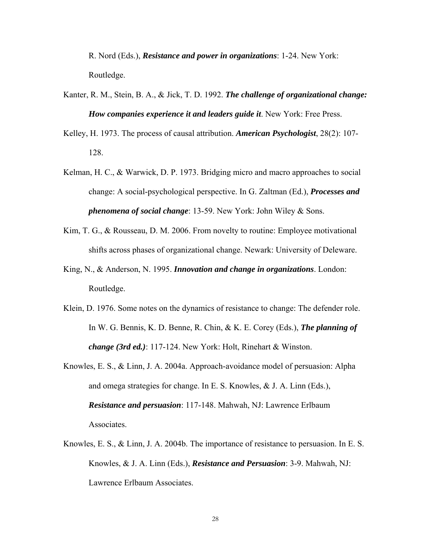R. Nord (Eds.), *Resistance and power in organizations*: 1-24. New York: Routledge.

- Kanter, R. M., Stein, B. A., & Jick, T. D. 1992. *The challenge of organizational change: How companies experience it and leaders guide it*. New York: Free Press.
- Kelley, H. 1973. The process of causal attribution. *American Psychologist*, 28(2): 107- 128.
- Kelman, H. C., & Warwick, D. P. 1973. Bridging micro and macro approaches to social change: A social-psychological perspective. In G. Zaltman (Ed.), *Processes and phenomena of social change*: 13-59. New York: John Wiley & Sons.
- Kim, T. G., & Rousseau, D. M. 2006. From novelty to routine: Employee motivational shifts across phases of organizational change. Newark: University of Deleware.
- King, N., & Anderson, N. 1995. *Innovation and change in organizations*. London: Routledge.
- Klein, D. 1976. Some notes on the dynamics of resistance to change: The defender role. In W. G. Bennis, K. D. Benne, R. Chin, & K. E. Corey (Eds.), *The planning of change (3rd ed.)*: 117-124. New York: Holt, Rinehart & Winston.
- Knowles, E. S., & Linn, J. A. 2004a. Approach-avoidance model of persuasion: Alpha and omega strategies for change. In E. S. Knowles, & J. A. Linn (Eds.), *Resistance and persuasion*: 117-148. Mahwah, NJ: Lawrence Erlbaum Associates.
- Knowles, E. S., & Linn, J. A. 2004b. The importance of resistance to persuasion. In E. S. Knowles, & J. A. Linn (Eds.), *Resistance and Persuasion*: 3-9. Mahwah, NJ: Lawrence Erlbaum Associates.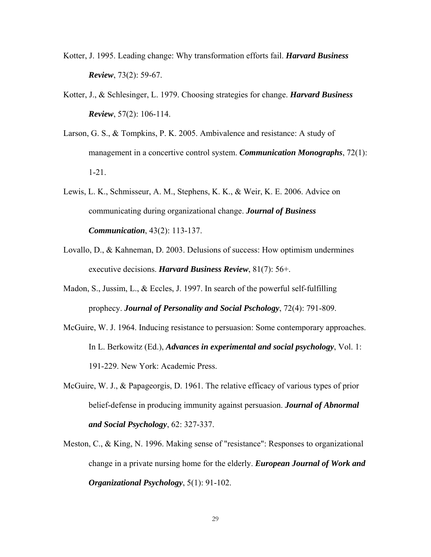- Kotter, J. 1995. Leading change: Why transformation efforts fail. *Harvard Business Review*, 73(2): 59-67.
- Kotter, J., & Schlesinger, L. 1979. Choosing strategies for change. *Harvard Business Review*, 57(2): 106-114.
- Larson, G. S., & Tompkins, P. K. 2005. Ambivalence and resistance: A study of management in a concertive control system. *Communication Monographs*, 72(1): 1-21.
- Lewis, L. K., Schmisseur, A. M., Stephens, K. K., & Weir, K. E. 2006. Advice on communicating during organizational change. *Journal of Business Communication*, 43(2): 113-137.
- Lovallo, D., & Kahneman, D. 2003. Delusions of success: How optimism undermines executive decisions. *Harvard Business Review*, 81(7): 56+.
- Madon, S., Jussim, L., & Eccles, J. 1997. In search of the powerful self-fulfilling prophecy. *Journal of Personality and Social Pschology*, 72(4): 791-809.
- McGuire, W. J. 1964. Inducing resistance to persuasion: Some contemporary approaches. In L. Berkowitz (Ed.), *Advances in experimental and social psychology*, Vol. 1: 191-229. New York: Academic Press.
- McGuire, W. J., & Papageorgis, D. 1961. The relative efficacy of various types of prior belief-defense in producing immunity against persuasion. *Journal of Abnormal and Social Psychology*, 62: 327-337.
- Meston, C., & King, N. 1996. Making sense of "resistance": Responses to organizational change in a private nursing home for the elderly. *European Journal of Work and Organizational Psychology*, 5(1): 91-102.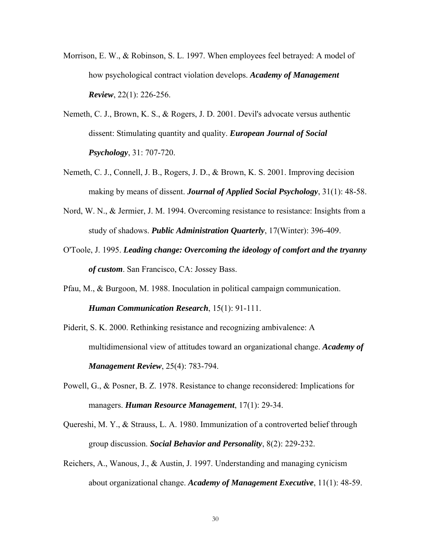- Morrison, E. W., & Robinson, S. L. 1997. When employees feel betrayed: A model of how psychological contract violation develops. *Academy of Management Review*, 22(1): 226-256.
- Nemeth, C. J., Brown, K. S., & Rogers, J. D. 2001. Devil's advocate versus authentic dissent: Stimulating quantity and quality. *European Journal of Social Psychology*, 31: 707-720.
- Nemeth, C. J., Connell, J. B., Rogers, J. D., & Brown, K. S. 2001. Improving decision making by means of dissent. *Journal of Applied Social Psychology*, 31(1): 48-58.
- Nord, W. N., & Jermier, J. M. 1994. Overcoming resistance to resistance: Insights from a study of shadows. *Public Administration Quarterly*, 17(Winter): 396-409.
- O'Toole, J. 1995. *Leading change: Overcoming the ideology of comfort and the tryanny of custom*. San Francisco, CA: Jossey Bass.
- Pfau, M., & Burgoon, M. 1988. Inoculation in political campaign communication. *Human Communication Research*, 15(1): 91-111.
- Piderit, S. K. 2000. Rethinking resistance and recognizing ambivalence: A multidimensional view of attitudes toward an organizational change. *Academy of Management Review*, 25(4): 783-794.
- Powell, G., & Posner, B. Z. 1978. Resistance to change reconsidered: Implications for managers. *Human Resource Management*, 17(1): 29-34.
- Quereshi, M. Y., & Strauss, L. A. 1980. Immunization of a controverted belief through group discussion. *Social Behavior and Personality*, 8(2): 229-232.
- Reichers, A., Wanous, J., & Austin, J. 1997. Understanding and managing cynicism about organizational change. *Academy of Management Executive*, 11(1): 48-59.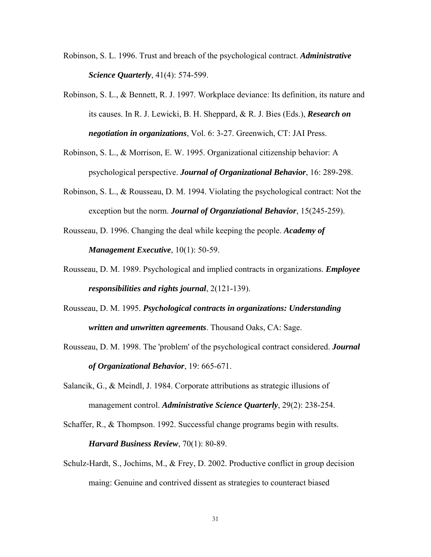- Robinson, S. L. 1996. Trust and breach of the psychological contract. *Administrative Science Quarterly*, 41(4): 574-599.
- Robinson, S. L., & Bennett, R. J. 1997. Workplace deviance: Its definition, its nature and its causes. In R. J. Lewicki, B. H. Sheppard, & R. J. Bies (Eds.), *Research on negotiation in organizations*, Vol. 6: 3-27. Greenwich, CT: JAI Press.
- Robinson, S. L., & Morrison, E. W. 1995. Organizational citizenship behavior: A psychological perspective. *Journal of Organizational Behavior*, 16: 289-298.
- Robinson, S. L., & Rousseau, D. M. 1994. Violating the psychological contract: Not the exception but the norm. *Journal of Organziational Behavior*, 15(245-259).
- Rousseau, D. 1996. Changing the deal while keeping the people. *Academy of Management Executive*, 10(1): 50-59.
- Rousseau, D. M. 1989. Psychological and implied contracts in organizations. *Employee responsibilities and rights journal*, 2(121-139).
- Rousseau, D. M. 1995. *Psychological contracts in organizations: Understanding written and unwritten agreements*. Thousand Oaks, CA: Sage.
- Rousseau, D. M. 1998. The 'problem' of the psychological contract considered. *Journal of Organizational Behavior*, 19: 665-671.
- Salancik, G., & Meindl, J. 1984. Corporate attributions as strategic illusions of management control. *Administrative Science Quarterly*, 29(2): 238-254.
- Schaffer, R., & Thompson. 1992. Successful change programs begin with results. *Harvard Business Review*, 70(1): 80-89.
- Schulz-Hardt, S., Jochims, M., & Frey, D. 2002. Productive conflict in group decision maing: Genuine and contrived dissent as strategies to counteract biased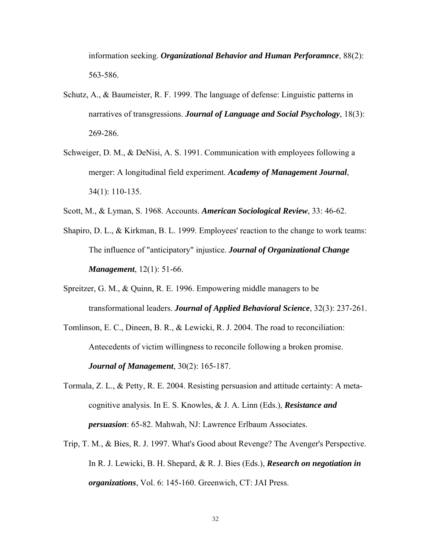information seeking. *Organizational Behavior and Human Perforamnce*, 88(2): 563-586.

- Schutz, A., & Baumeister, R. F. 1999. The language of defense: Linguistic patterns in narratives of transgressions. *Journal of Language and Social Psychology*, 18(3): 269-286.
- Schweiger, D. M., & DeNisi, A. S. 1991. Communication with employees following a merger: A longitudinal field experiment. *Academy of Management Journal*, 34(1): 110-135.
- Scott, M., & Lyman, S. 1968. Accounts. *American Sociological Review*, 33: 46-62.
- Shapiro, D. L., & Kirkman, B. L. 1999. Employees' reaction to the change to work teams: The influence of "anticipatory" injustice. *Journal of Organizational Change Management*, 12(1): 51-66.
- Spreitzer, G. M., & Quinn, R. E. 1996. Empowering middle managers to be transformational leaders. *Journal of Applied Behavioral Science*, 32(3): 237-261.
- Tomlinson, E. C., Dineen, B. R., & Lewicki, R. J. 2004. The road to reconciliation: Antecedents of victim willingness to reconcile following a broken promise. *Journal of Management*, 30(2): 165-187.
- Tormala, Z. L., & Petty, R. E. 2004. Resisting persuasion and attitude certainty: A metacognitive analysis. In E. S. Knowles, & J. A. Linn (Eds.), *Resistance and persuasion*: 65-82. Mahwah, NJ: Lawrence Erlbaum Associates.
- Trip, T. M., & Bies, R. J. 1997. What's Good about Revenge? The Avenger's Perspective. In R. J. Lewicki, B. H. Shepard, & R. J. Bies (Eds.), *Research on negotiation in organizations*, Vol. 6: 145-160. Greenwich, CT: JAI Press.